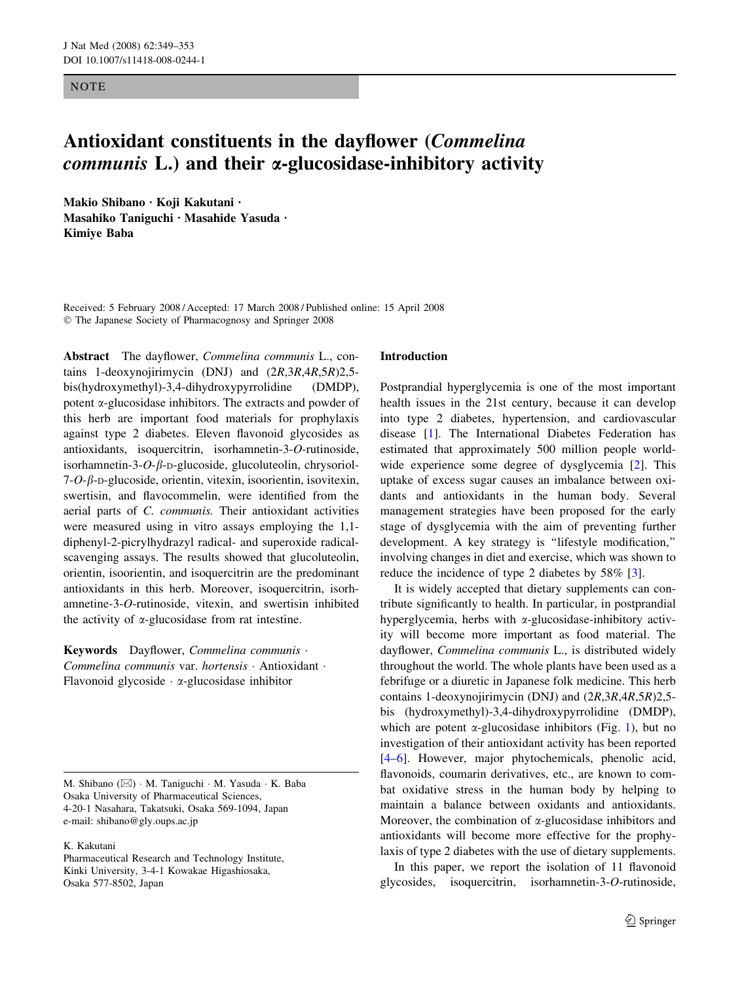**NOTE** 

# Antioxidant constituents in the dayflower (Commelina communis L.) and their *a*-glucosidase-inhibitory activity

Makio Shibano · Koji Kakutani · Masahiko Taniguchi · Masahide Yasuda · Kimiye Baba

Received: 5 February 2008 / Accepted: 17 March 2008 / Published online: 15 April 2008 The Japanese Society of Pharmacognosy and Springer 2008

Abstract The dayflower, Commelina communis L., contains 1-deoxynojirimycin (DNJ) and (2R,3R,4R,5R)2,5 bis(hydroxymethyl)-3,4-dihydroxypyrrolidine (DMDP), potent a-glucosidase inhibitors. The extracts and powder of this herb are important food materials for prophylaxis against type 2 diabetes. Eleven flavonoid glycosides as antioxidants, isoquercitrin, isorhamnetin-3-O-rutinoside, isorhamnetin-3- $O$ - $\beta$ -D-glucoside, glucoluteolin, chrysoriol- $7$ -O- $\beta$ -D-glucoside, orientin, vitexin, isoorientin, isovitexin, swertisin, and flavocommelin, were identified from the aerial parts of C. communis. Their antioxidant activities were measured using in vitro assays employing the 1,1 diphenyl-2-picrylhydrazyl radical- and superoxide radicalscavenging assays. The results showed that glucoluteolin, orientin, isoorientin, and isoquercitrin are the predominant antioxidants in this herb. Moreover, isoquercitrin, isorhamnetine-3-O-rutinoside, vitexin, and swertisin inhibited the activity of  $\alpha$ -glucosidase from rat intestine.

Keywords Dayflower, Commelina communis · Commelina communis var. hortensis · Antioxidant · Flavonoid glycoside  $\cdot \alpha$ -glucosidase inhibitor

M. Shibano ( $\boxtimes$ ) · M. Taniguchi · M. Yasuda · K. Baba Osaka University of Pharmaceutical Sciences, 4-20-1 Nasahara, Takatsuki, Osaka 569-1094, Japan e-mail: shibano@gly.oups.ac.jp

# K. Kakutani

Pharmaceutical Research and Technology Institute, Kinki University, 3-4-1 Kowakae Higashiosaka, Osaka 577-8502, Japan

#### Introduction

Postprandial hyperglycemia is one of the most important health issues in the 21st century, because it can develop into type 2 diabetes, hypertension, and cardiovascular disease [[1\]](#page-4-0). The International Diabetes Federation has estimated that approximately 500 million people worldwide experience some degree of dysglycemia [\[2](#page-4-0)]. This uptake of excess sugar causes an imbalance between oxidants and antioxidants in the human body. Several management strategies have been proposed for the early stage of dysglycemia with the aim of preventing further development. A key strategy is ''lifestyle modification,'' involving changes in diet and exercise, which was shown to reduce the incidence of type 2 diabetes by 58% [[3\]](#page-4-0).

It is widely accepted that dietary supplements can contribute significantly to health. In particular, in postprandial hyperglycemia, herbs with  $\alpha$ -glucosidase-inhibitory activity will become more important as food material. The dayflower, Commelina communis L., is distributed widely throughout the world. The whole plants have been used as a febrifuge or a diuretic in Japanese folk medicine. This herb contains 1-deoxynojirimycin (DNJ) and (2R,3R,4R,5R)2,5 bis (hydroxymethyl)-3,4-dihydroxypyrrolidine (DMDP), which are potent  $\alpha$ -glucosidase inhibitors (Fig. [1\)](#page-1-0), but no investigation of their antioxidant activity has been reported [\[4–6](#page-4-0)]. However, major phytochemicals, phenolic acid, flavonoids, coumarin derivatives, etc., are known to combat oxidative stress in the human body by helping to maintain a balance between oxidants and antioxidants. Moreover, the combination of  $\alpha$ -glucosidase inhibitors and antioxidants will become more effective for the prophylaxis of type 2 diabetes with the use of dietary supplements.

In this paper, we report the isolation of 11 flavonoid glycosides, isoquercitrin, isorhamnetin-3-O-rutinoside,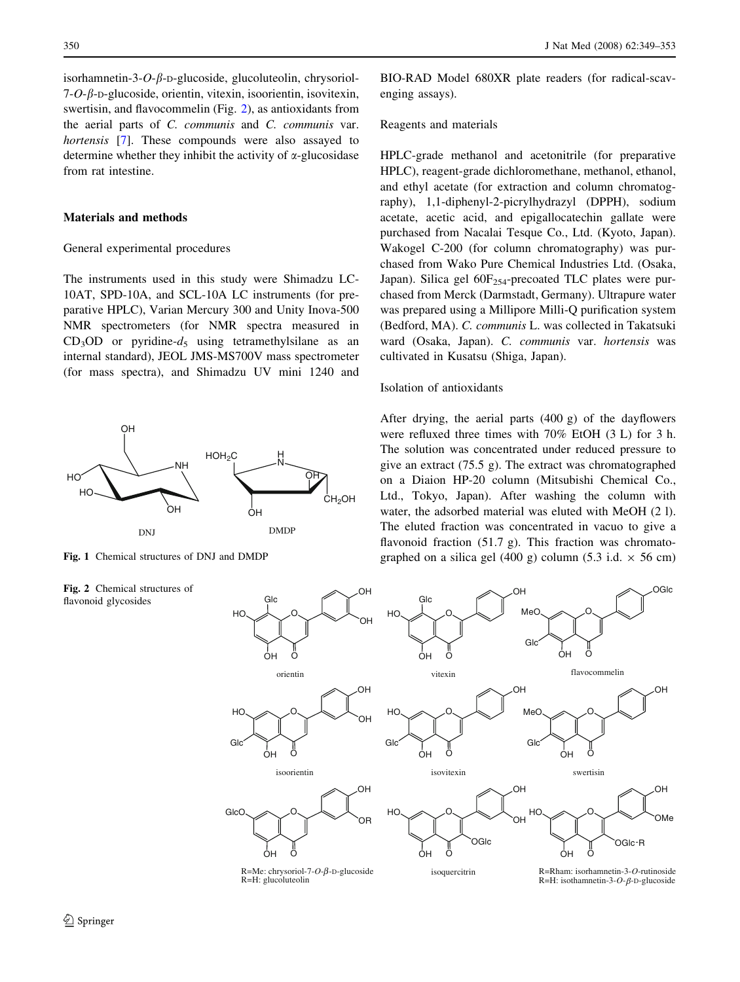<span id="page-1-0"></span>isorhamnetin-3- $O$ - $\beta$ -D-glucoside, glucoluteolin, chrysoriol- $7$ -O- $\beta$ -D-glucoside, orientin, vitexin, isoorientin, isovitexin, swertisin, and flavocommelin (Fig. 2), as antioxidants from the aerial parts of C. communis and C. communis var. hortensis [\[7](#page-4-0)]. These compounds were also assayed to determine whether they inhibit the activity of  $\alpha$ -glucosidase from rat intestine.

# Materials and methods

#### General experimental procedures

The instruments used in this study were Shimadzu LC-10AT, SPD-10A, and SCL-10A LC instruments (for preparative HPLC), Varian Mercury 300 and Unity Inova-500 NMR spectrometers (for NMR spectra measured in  $CD_3OD$  or pyridine- $d_5$  using tetramethylsilane as an internal standard), JEOL JMS-MS700V mass spectrometer (for mass spectra), and Shimadzu UV mini 1240 and



Fig. 1 Chemical structures of DNJ and DMDP

Fig. 2 Chemical structures of flavonoid glycosides

BIO-RAD Model 680XR plate readers (for radical-scavenging assays).

#### Reagents and materials

HPLC-grade methanol and acetonitrile (for preparative HPLC), reagent-grade dichloromethane, methanol, ethanol, and ethyl acetate (for extraction and column chromatography), 1,1-diphenyl-2-picrylhydrazyl (DPPH), sodium acetate, acetic acid, and epigallocatechin gallate were purchased from Nacalai Tesque Co., Ltd. (Kyoto, Japan). Wakogel C-200 (for column chromatography) was purchased from Wako Pure Chemical Industries Ltd. (Osaka, Japan). Silica gel  $60F_{254}$ -precoated TLC plates were purchased from Merck (Darmstadt, Germany). Ultrapure water was prepared using a Millipore Milli-Q purification system (Bedford, MA). C. communis L. was collected in Takatsuki ward (Osaka, Japan). C. communis var. hortensis was cultivated in Kusatsu (Shiga, Japan).

#### Isolation of antioxidants

After drying, the aerial parts (400 g) of the dayflowers were refluxed three times with 70% EtOH (3 L) for 3 h. The solution was concentrated under reduced pressure to give an extract (75.5 g). The extract was chromatographed on a Diaion HP-20 column (Mitsubishi Chemical Co., Ltd., Tokyo, Japan). After washing the column with water, the adsorbed material was eluted with MeOH (2 l). The eluted fraction was concentrated in vacuo to give a flavonoid fraction (51.7 g). This fraction was chromatographed on a silica gel (400 g) column (5.3 i.d.  $\times$  56 cm)

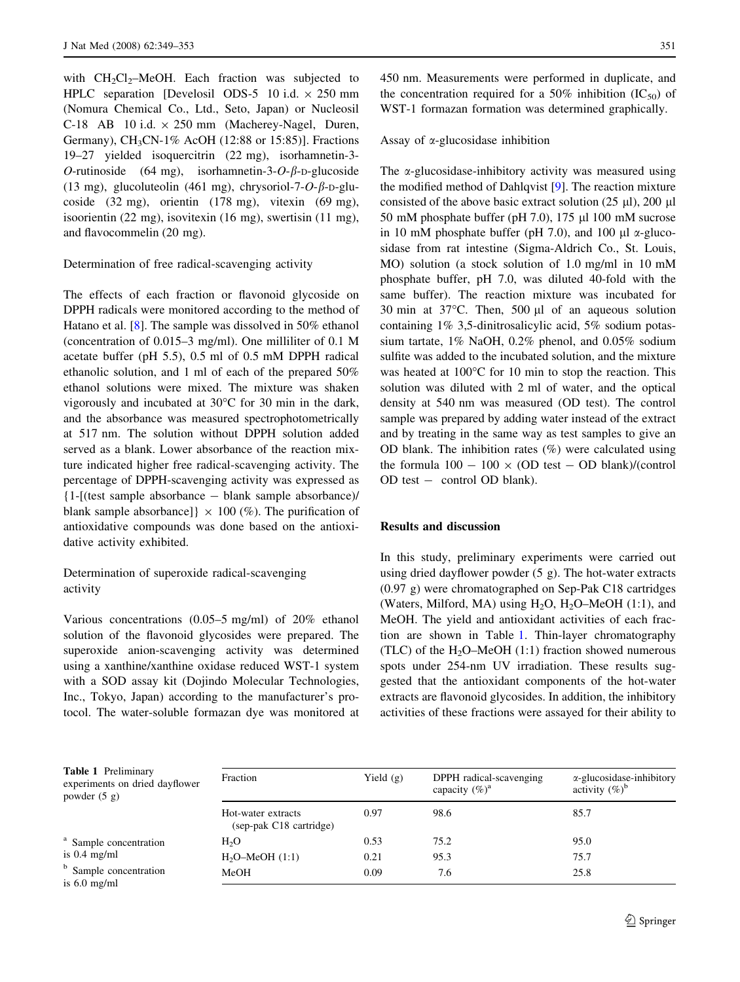with  $CH<sub>2</sub>Cl<sub>2</sub>$ -MeOH. Each fraction was subjected to HPLC separation [Develosil ODS-5 10 i.d.  $\times$  250 mm (Nomura Chemical Co., Ltd., Seto, Japan) or Nucleosil C-18 AB 10 i.d.  $\times$  250 mm (Macherey-Nagel, Duren, Germany), CH3CN-1% AcOH (12:88 or 15:85)]. Fractions 19–27 yielded isoquercitrin (22 mg), isorhamnetin-3- O-rutinoside (64 mg), isorhamnetin-3-O- $\beta$ -D-glucoside (13 mg), glucoluteolin (461 mg), chrysoriol-7- $O$ - $\beta$ -D-glucoside (32 mg), orientin (178 mg), vitexin (69 mg), isoorientin (22 mg), isovitexin (16 mg), swertisin (11 mg), and flavocommelin (20 mg).

# Determination of free radical-scavenging activity

The effects of each fraction or flavonoid glycoside on DPPH radicals were monitored according to the method of Hatano et al. [[8\]](#page-4-0). The sample was dissolved in 50% ethanol (concentration of 0.015–3 mg/ml). One milliliter of 0.1 M acetate buffer (pH 5.5), 0.5 ml of 0.5 mM DPPH radical ethanolic solution, and 1 ml of each of the prepared 50% ethanol solutions were mixed. The mixture was shaken vigorously and incubated at  $30^{\circ}$ C for 30 min in the dark, and the absorbance was measured spectrophotometrically at 517 nm. The solution without DPPH solution added served as a blank. Lower absorbance of the reaction mixture indicated higher free radical-scavenging activity. The percentage of DPPH-scavenging activity was expressed as {1-[(test sample absorbance - blank sample absorbance)/ blank sample absorbance]}  $\times$  100 (%). The purification of antioxidative compounds was done based on the antioxidative activity exhibited.

# Determination of superoxide radical-scavenging activity

Various concentrations (0.05–5 mg/ml) of 20% ethanol solution of the flavonoid glycosides were prepared. The superoxide anion-scavenging activity was determined using a xanthine/xanthine oxidase reduced WST-1 system with a SOD assay kit (Dojindo Molecular Technologies, Inc., Tokyo, Japan) according to the manufacturer's protocol. The water-soluble formazan dye was monitored at 450 nm. Measurements were performed in duplicate, and the concentration required for a 50% inhibition  $(IC_{50})$  of WST-1 formazan formation was determined graphically.

# Assay of  $\alpha$ -glucosidase inhibition

The  $\alpha$ -glucosidase-inhibitory activity was measured using the modified method of Dahlqvist [[9\]](#page-4-0). The reaction mixture consisted of the above basic extract solution  $(25 \text{ µl})$ ,  $200 \text{ µl}$ 50 mM phosphate buffer (pH 7.0), 175  $\mu$ l 100 mM sucrose in 10 mM phosphate buffer (pH 7.0), and 100  $\mu$ l  $\alpha$ -glucosidase from rat intestine (Sigma-Aldrich Co., St. Louis, MO) solution (a stock solution of 1.0 mg/ml in 10 mM phosphate buffer, pH 7.0, was diluted 40-fold with the same buffer). The reaction mixture was incubated for 30 min at  $37^{\circ}$ C. Then, 500 µl of an aqueous solution containing 1% 3,5-dinitrosalicylic acid, 5% sodium potassium tartate, 1% NaOH, 0.2% phenol, and 0.05% sodium sulfite was added to the incubated solution, and the mixture was heated at  $100^{\circ}$ C for 10 min to stop the reaction. This solution was diluted with 2 ml of water, and the optical density at 540 nm was measured (OD test). The control sample was prepared by adding water instead of the extract and by treating in the same way as test samples to give an OD blank. The inhibition rates (%) were calculated using the formula  $100 - 100 \times (OD \text{ test} - OD \text{ blank})/(\text{control}$ OD test - control OD blank).

# Results and discussion

In this study, preliminary experiments were carried out using dried dayflower powder (5 g). The hot-water extracts (0.97 g) were chromatographed on Sep-Pak C18 cartridges (Waters, Milford, MA) using  $H_2O$ ,  $H_2O$ –MeOH (1:1), and MeOH. The yield and antioxidant activities of each fraction are shown in Table 1. Thin-layer chromatography (TLC) of the  $H_2O-MeOH$  (1:1) fraction showed numerous spots under 254-nm UV irradiation. These results suggested that the antioxidant components of the hot-water extracts are flavonoid glycosides. In addition, the inhibitory activities of these fractions were assayed for their ability to

Table 1 Preliminary experiments on dried dayflower powder (5 g)

| <sup>a</sup> Sample concentration |
|-----------------------------------|
| is $0.4 \text{ mg/ml}$            |
| Sample concentration              |
|                                   |

is 6.0 mg/ml

| Hot-water extracts<br>(sep-pak C18 cartridge) | 0.97 | 98.6 | 85.7 |
|-----------------------------------------------|------|------|------|
| H <sub>2</sub> O                              | 0.53 | 75.2 | 95.0 |
| $H_2O-MeOH (1:1)$                             | 0.21 | 95.3 | 75.7 |
| MeOH                                          | 0.09 | 7.6  | 25.8 |

capacity  $(\%)^a$ 

Fraction **Yield (g)** DPPH radical-scavenging

a-glucosidase-inhibitory

activity  $(\%)^b$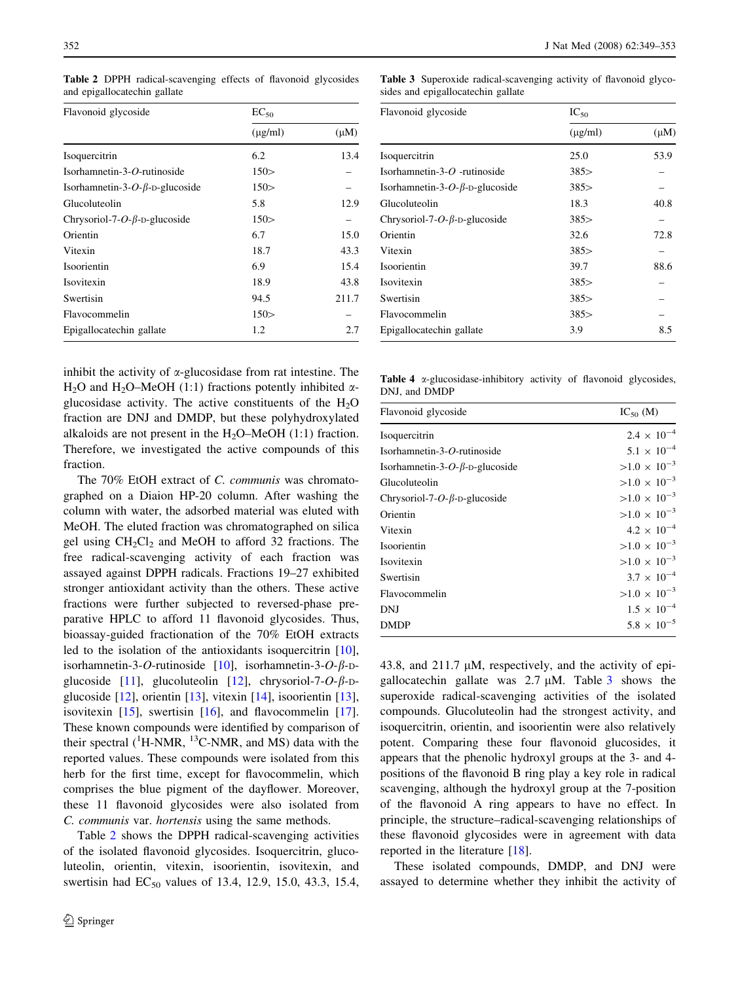| Flavonoid glycoside                    | $EC_{50}$    |           |
|----------------------------------------|--------------|-----------|
|                                        | $(\mu$ g/ml) | $(\mu M)$ |
| Isoquercitrin                          | 6.2          | 13.4      |
| Isorhamnetin-3-O-rutinoside            | 150 >        |           |
| Isorhamnetin-3-O- $\beta$ -D-glucoside | 150 >        |           |
| Glucoluteolin                          | 5.8          | 12.9      |
| Chrysoriol-7-O- $\beta$ -D-glucoside   | 150 >        |           |
| Orientin                               | 6.7          | 15.0      |
| Vitexin                                | 18.7         | 43.3      |
| Isoorientin                            | 6.9          | 15.4      |
| Isovitexin                             | 18.9         | 43.8      |
| Swertisin                              | 94.5         | 211.7     |
| Flavocommelin                          | 150 >        |           |
| Epigallocatechin gallate               | 1.2          | 2.7       |

<span id="page-3-0"></span>Table 2 DPPH radical-scavenging effects of flavonoid glycosides and epigallocatechin gallate

Table 3 Superoxide radical-scavenging activity of flavonoid glycosides and epigallocatechin gallate

| Flavonoid glycoside                    | $IC_{50}$    |           |  |
|----------------------------------------|--------------|-----------|--|
|                                        | $(\mu$ g/ml) | $(\mu M)$ |  |
| Isoquercitrin                          | 25.0         | 53.9      |  |
| Isorhamnetin-3- $O$ -rutinoside        | 385          |           |  |
| Isorhamnetin-3-O- $\beta$ -D-glucoside | 385          |           |  |
| Glucoluteolin                          | 18.3         | 40.8      |  |
| Chrysoriol-7-O- $\beta$ -D-glucoside   | 385          |           |  |
| Orientin                               | 32.6         | 72.8      |  |
| Vitexin                                | 385          |           |  |
| Isoorientin                            | 39.7         | 88.6      |  |
| Isovitexin                             | 385          |           |  |
| Swertisin                              | 385          |           |  |
| Flavocommelin                          | 385          |           |  |
| Epigallocatechin gallate               | 3.9          | 8.5       |  |

inhibit the activity of  $\alpha$ -glucosidase from rat intestine. The H<sub>2</sub>O and H<sub>2</sub>O–MeOH (1:1) fractions potently inhibited  $\alpha$ glucosidase activity. The active constituents of the  $H_2O$ fraction are DNJ and DMDP, but these polyhydroxylated alkaloids are not present in the  $H_2O-MeOH$  (1:1) fraction. Therefore, we investigated the active compounds of this fraction.

The 70% EtOH extract of C. communis was chromatographed on a Diaion HP-20 column. After washing the column with water, the adsorbed material was eluted with MeOH. The eluted fraction was chromatographed on silica gel using  $CH_2Cl_2$  and MeOH to afford 32 fractions. The free radical-scavenging activity of each fraction was assayed against DPPH radicals. Fractions 19–27 exhibited stronger antioxidant activity than the others. These active fractions were further subjected to reversed-phase preparative HPLC to afford 11 flavonoid glycosides. Thus, bioassay-guided fractionation of the 70% EtOH extracts led to the isolation of the antioxidants isoquercitrin [\[10](#page-4-0)], isorhamnetin-3-O-rutinoside [\[10](#page-4-0)], isorhamnetin-3-O- $\beta$ -D-glucoside [[11\]](#page-4-0), glucoluteolin [\[12](#page-4-0)], chrysoriol-7- $O$ - $\beta$ -Dglucoside [[12\]](#page-4-0), orientin [\[13](#page-4-0)], vitexin [\[14](#page-4-0)], isoorientin [\[13](#page-4-0)], isovitexin  $[15]$  $[15]$ , swertisin  $[16]$  $[16]$ , and flavocommelin  $[17]$  $[17]$ . These known compounds were identified by comparison of their spectral  $(^{1}H\text{-NMR},~^{13}C\text{-NMR},$  and MS) data with the reported values. These compounds were isolated from this herb for the first time, except for flavocommelin, which comprises the blue pigment of the dayflower. Moreover, these 11 flavonoid glycosides were also isolated from C. communis var. hortensis using the same methods.

Table 2 shows the DPPH radical-scavenging activities of the isolated flavonoid glycosides. Isoquercitrin, glucoluteolin, orientin, vitexin, isoorientin, isovitexin, and swertisin had  $EC_{50}$  values of 13.4, 12.9, 15.0, 43.3, 15.4,

Table 4  $\alpha$ -glucosidase-inhibitory activity of flavonoid glycosides, DNJ, and DMDP

| Flavonoid glycoside                    | $IC_{50}$ (M)         |
|----------------------------------------|-----------------------|
| Isoquercitrin                          | $2.4 \times 10^{-4}$  |
| Isorhamnetin-3-O-rutinoside            | $5.1 \times 10^{-4}$  |
| Isorhamnetin-3-O- $\beta$ -D-glucoside | $>1.0 \times 10^{-3}$ |
| Glucoluteolin                          | $>1.0 \times 10^{-3}$ |
| Chrysoriol-7-O- $\beta$ -D-glucoside   | $>1.0 \times 10^{-3}$ |
| Orientin                               | $>1.0 \times 10^{-3}$ |
| Vitexin                                | $4.2 \times 10^{-4}$  |
| Isoorientin                            | $>1.0 \times 10^{-3}$ |
| Isovitexin                             | $>1.0 \times 10^{-3}$ |
| Swertisin                              | $3.7 \times 10^{-4}$  |
| Flavocommelin                          | $>1.0 \times 10^{-3}$ |
| DNJ                                    | $1.5 \times 10^{-4}$  |
| <b>DMDP</b>                            | $5.8 \times 10^{-5}$  |

43.8, and 211.7  $\mu$ M, respectively, and the activity of epigallocatechin gallate was  $2.7 \mu M$ . Table 3 shows the superoxide radical-scavenging activities of the isolated compounds. Glucoluteolin had the strongest activity, and isoquercitrin, orientin, and isoorientin were also relatively potent. Comparing these four flavonoid glucosides, it appears that the phenolic hydroxyl groups at the 3- and 4 positions of the flavonoid B ring play a key role in radical scavenging, although the hydroxyl group at the 7-position of the flavonoid A ring appears to have no effect. In principle, the structure–radical-scavenging relationships of these flavonoid glycosides were in agreement with data reported in the literature [\[18](#page-4-0)].

These isolated compounds, DMDP, and DNJ were assayed to determine whether they inhibit the activity of